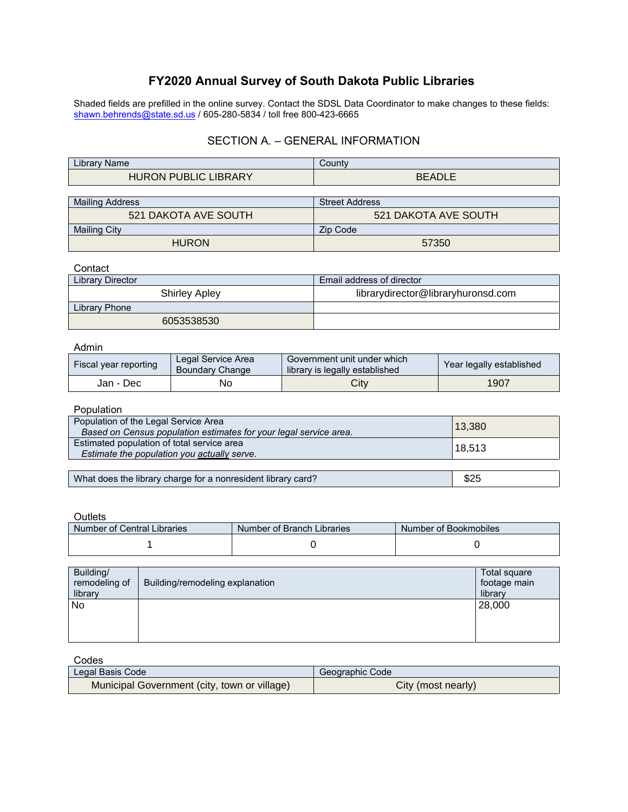# **FY2020 Annual Survey of South Dakota Public Libraries**

Shaded fields are prefilled in the online survey. Contact the SDSL Data Coordinator to make changes to these fields: [shawn.behrends@state.sd.us](mailto:shawn.behrends@state.sd.us) / 605-280-5834 / toll free 800-423-6665

### SECTION A. – GENERAL INFORMATION

| .<br>∠ıbrarv<br><b>Name</b>                                         | <b>Count∨</b>         |
|---------------------------------------------------------------------|-----------------------|
| IC.<br><b>LIBRARY</b><br><b>HUR</b> C<br>JRI.<br>DI<br>₹ON.<br>◡◡៶◡ | FADIF<br>nг<br>DEADLE |

| <b>Mailing Address</b>      | <b>Street Address</b> |  |
|-----------------------------|-----------------------|--|
| <b>521 DAKOTA AVE SOUTH</b> | 521 DAKOTA AVE SOUTH  |  |
| <b>Mailing City</b>         | Zip Code              |  |
| <b>HURON</b>                | 57350                 |  |

#### **Contact**

| Library Director     | Email address of director          |
|----------------------|------------------------------------|
| <b>Shirley Apley</b> | librarydirector@libraryhuronsd.com |
| Library Phone        |                                    |
| 6053538530           |                                    |

#### Admin

| Fiscal year reporting | Legal Service Area<br><b>Boundary Change</b> | Government unit under which<br>library is legally established | Year legally established |
|-----------------------|----------------------------------------------|---------------------------------------------------------------|--------------------------|
| Jan - Dec             | No                                           | City                                                          | 1907                     |

#### Population

| Population of the Legal Service Area<br>Based on Census population estimates for your legal service area. | 13,380 |
|-----------------------------------------------------------------------------------------------------------|--------|
| Estimated population of total service area<br>Estimate the population you actually serve.                 | 18,513 |
|                                                                                                           |        |
| What does the library charge for a nonresident library card?                                              | \$25   |

#### **Outlets**

| Number of Central Libraries | Number of Branch Libraries | Number of Bookmobiles |
|-----------------------------|----------------------------|-----------------------|
|                             |                            |                       |

| Building/     |                                 | Total square |
|---------------|---------------------------------|--------------|
| remodeling of | Building/remodeling explanation | footage main |
| library       |                                 | library      |
| No            |                                 | 28,000       |
|               |                                 |              |
|               |                                 |              |
|               |                                 |              |

| Codes                                        |                    |
|----------------------------------------------|--------------------|
| Legal Basis Code                             | Geographic Code    |
| Municipal Government (city, town or village) | City (most nearly) |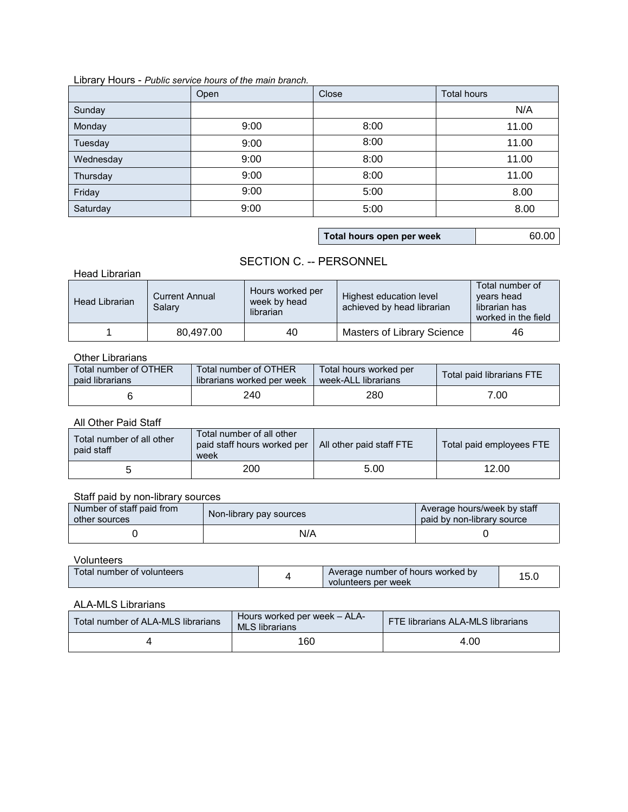#### Library Hours - *Public service hours of the main branch.*

|           | Open | Close                     | <b>Total hours</b> |
|-----------|------|---------------------------|--------------------|
| Sunday    |      |                           | N/A                |
| Monday    | 9:00 | 8:00                      | 11.00              |
| Tuesday   | 9:00 | 8:00                      | 11.00              |
| Wednesday | 9:00 | 8:00                      | 11.00              |
| Thursday  | 9:00 | 8:00                      | 11.00              |
| Friday    | 9:00 | 5:00                      | 8.00               |
| Saturday  | 9:00 | 5:00                      | 8.00               |
|           |      |                           |                    |
|           |      | Total hours open per week | 60.00              |

## SECTION C. -- PERSONNEL

Head Librarian

| <b>Head Librarian</b> | <b>Current Annual</b><br>Salary | Hours worked per<br>week by head<br>librarian | Highest education level<br>achieved by head librarian | Total number of<br>years head<br>librarian has<br>worked in the field |
|-----------------------|---------------------------------|-----------------------------------------------|-------------------------------------------------------|-----------------------------------------------------------------------|
|                       | 80.497.00                       | 40                                            | <b>Masters of Library Science</b>                     | 46                                                                    |

#### Other Librarians

| Total number of OTHER | Total number of OTHER      | Total hours worked per | Total paid librarians FTE |
|-----------------------|----------------------------|------------------------|---------------------------|
| paid librarians       | librarians worked per week | week-ALL librarians    |                           |
|                       | 240                        | 280                    | 7.00                      |

### All Other Paid Staff

| Total number of all other<br>paid staff | Total number of all other<br>paid staff hours worked per   All other paid staff FTE<br>week |      | Total paid employees FTE |
|-----------------------------------------|---------------------------------------------------------------------------------------------|------|--------------------------|
|                                         | 200                                                                                         | 5.00 | 12.00                    |

### Staff paid by non-library sources

| Number of staff paid from<br>other sources | Non-library pay sources | Average hours/week by staff<br>paid by non-library source |
|--------------------------------------------|-------------------------|-----------------------------------------------------------|
|                                            | N/A                     |                                                           |

Volunteers

| Total number of volunteers |  | Average number of hours worked by<br>volunteers per week | 15.C |
|----------------------------|--|----------------------------------------------------------|------|
|----------------------------|--|----------------------------------------------------------|------|

### ALA-MLS Librarians

| Total number of ALA-MLS librarians | Hours worked per week - ALA-<br><b>MLS</b> librarians | <b>FTE librarians ALA-MLS librarians</b> |
|------------------------------------|-------------------------------------------------------|------------------------------------------|
|                                    | 160                                                   | 4.00                                     |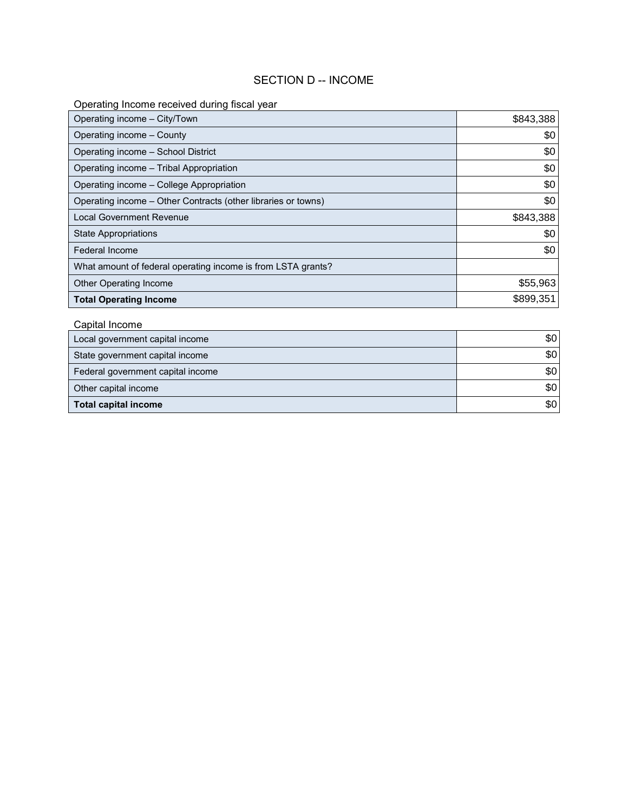### SECTION D -- INCOME

## Operating Income received during fiscal year

| Operating income - City/Town                                  | \$843,388 |
|---------------------------------------------------------------|-----------|
| Operating income - County                                     | \$0       |
| Operating income - School District                            | \$0       |
| Operating income – Tribal Appropriation                       | \$0       |
| Operating income - College Appropriation                      | \$0       |
| Operating income - Other Contracts (other libraries or towns) | \$0       |
| <b>Local Government Revenue</b>                               | \$843,388 |
| <b>State Appropriations</b>                                   | \$0       |
| Federal Income                                                | \$0       |
| What amount of federal operating income is from LSTA grants?  |           |
| <b>Other Operating Income</b>                                 | \$55,963  |
| <b>Total Operating Income</b>                                 | \$899,351 |

## Capital Income

| <b>Total Operating Income</b>     | \$899,351 |
|-----------------------------------|-----------|
| Capital Income                    |           |
| Local government capital income   | \$0       |
| State government capital income   | \$0       |
| Federal government capital income | \$0       |
| Other capital income              | \$0       |
| <b>Total capital income</b>       | \$0       |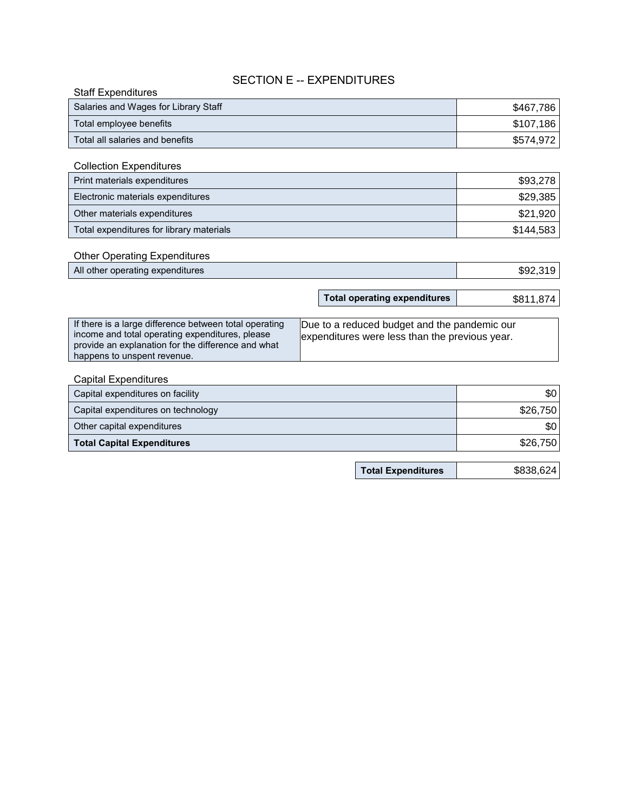## SECTION E -- EXPENDITURES

| <b>Staff Expenditures</b>            |           |
|--------------------------------------|-----------|
| Salaries and Wages for Library Staff | \$467,786 |
| Total employee benefits              | \$107,186 |
| Total all salaries and benefits      | \$574.972 |

| Total employee benefits                                                                                                                                                                        |                                                                                                | \$107,186 |
|------------------------------------------------------------------------------------------------------------------------------------------------------------------------------------------------|------------------------------------------------------------------------------------------------|-----------|
| Total all salaries and benefits                                                                                                                                                                |                                                                                                | \$574,972 |
|                                                                                                                                                                                                |                                                                                                |           |
| <b>Collection Expenditures</b>                                                                                                                                                                 |                                                                                                |           |
| Print materials expenditures                                                                                                                                                                   |                                                                                                | \$93,278  |
| Electronic materials expenditures                                                                                                                                                              |                                                                                                | \$29,385  |
| Other materials expenditures                                                                                                                                                                   |                                                                                                | \$21,920  |
| Total expenditures for library materials                                                                                                                                                       |                                                                                                | \$144,583 |
| <b>Other Operating Expenditures</b>                                                                                                                                                            |                                                                                                |           |
| All other operating expenditures                                                                                                                                                               |                                                                                                | \$92,319  |
|                                                                                                                                                                                                |                                                                                                |           |
|                                                                                                                                                                                                | <b>Total operating expenditures</b>                                                            | \$811,874 |
|                                                                                                                                                                                                |                                                                                                |           |
| If there is a large difference between total operating<br>income and total operating expenditures, please<br>provide an explanation for the difference and what<br>happens to unspent revenue. | Due to a reduced budget and the pandemic our<br>expenditures were less than the previous year. |           |
| <b>Capital Expenditures</b>                                                                                                                                                                    |                                                                                                |           |
| Capital expenditures on facility                                                                                                                                                               |                                                                                                | \$0       |

| <b>Other Operating Expenditures</b> |
|-------------------------------------|
|                                     |

| All other operating expenditures | ጦጣ<br>$\Omega$<br>992.319 |
|----------------------------------|---------------------------|
|                                  |                           |

| If there is a large difference between total operating<br>income and total operating expenditures, please<br>provide an explanation for the difference and what | Due to a reduced budget and the pandemic our<br>expenditures were less than the previous year. |
|-----------------------------------------------------------------------------------------------------------------------------------------------------------------|------------------------------------------------------------------------------------------------|
| happens to unspent revenue.                                                                                                                                     |                                                                                                |
|                                                                                                                                                                 |                                                                                                |

| <b>Capital Expenditures</b>        |          |
|------------------------------------|----------|
| Capital expenditures on facility   | ا 30     |
| Capital expenditures on technology | \$26,750 |
| Other capital expenditures         | \$0 I    |
| <b>Total Capital Expenditures</b>  | \$26,750 |

**Total Expenditures** \$838,624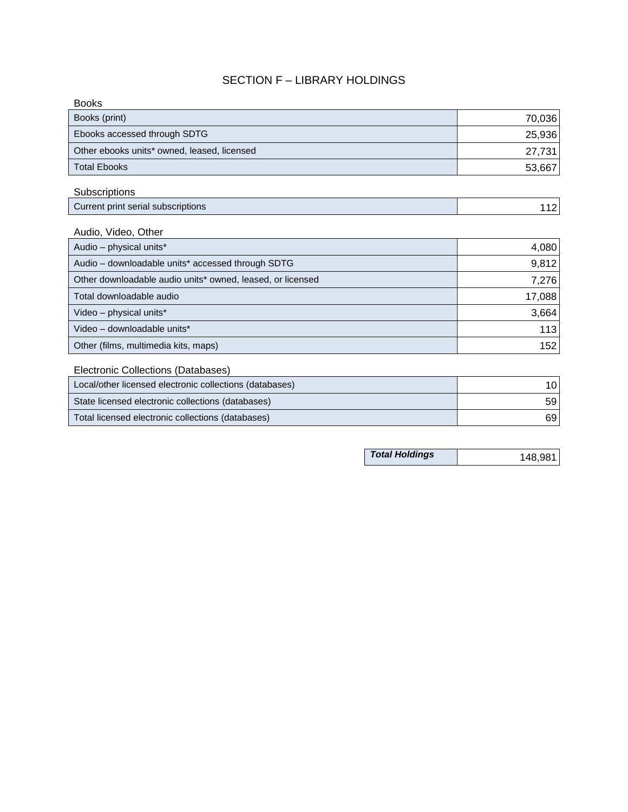## SECTION F – LIBRARY HOLDINGS

| Books (print)                               | 70,036 |
|---------------------------------------------|--------|
|                                             |        |
| Ebooks accessed through SDTG                | 25,936 |
| Other ebooks units* owned, leased, licensed | 27,731 |
| Total Ebooks                                | 53,667 |

## **Subscriptions**

| Current print serial subscriptions |  |
|------------------------------------|--|
|------------------------------------|--|

# Audio, Video, Other

| Ebooks accessed through SDTG                               | 25,936  |
|------------------------------------------------------------|---------|
| Other ebooks units* owned, leased, licensed                | 27,731  |
| <b>Total Ebooks</b>                                        | 53,667  |
| Subscriptions                                              |         |
| Current print serial subscriptions                         | 112     |
| Audio, Video, Other                                        |         |
| Audio - physical units*                                    | 4,080   |
| Audio - downloadable units* accessed through SDTG          | 9,812   |
| Other downloadable audio units* owned, leased, or licensed | 7,276   |
| Total downloadable audio                                   | 17,088  |
| Video - physical units*                                    | 3,664   |
| Video - downloadable units*                                | 113     |
| Other (films, multimedia kits, maps)                       | 152     |
| Electronic Collections (Databases)                         |         |
| Local/other licensed electronic collections (databases)    | 10      |
| State licensed electronic collections (databases)          | 59      |
| Total licensed electronic collections (databases)          | 69      |
|                                                            |         |
| <b>Total Holdings</b>                                      | 148,981 |

## Electronic Collections (Databases)

| Local/other licensed electronic collections (databases) | 10 l |
|---------------------------------------------------------|------|
| State licensed electronic collections (databases)       | 59   |
| Total licensed electronic collections (databases)       | 69   |

| <b>Total Holdings</b> | 148,981 |
|-----------------------|---------|
|-----------------------|---------|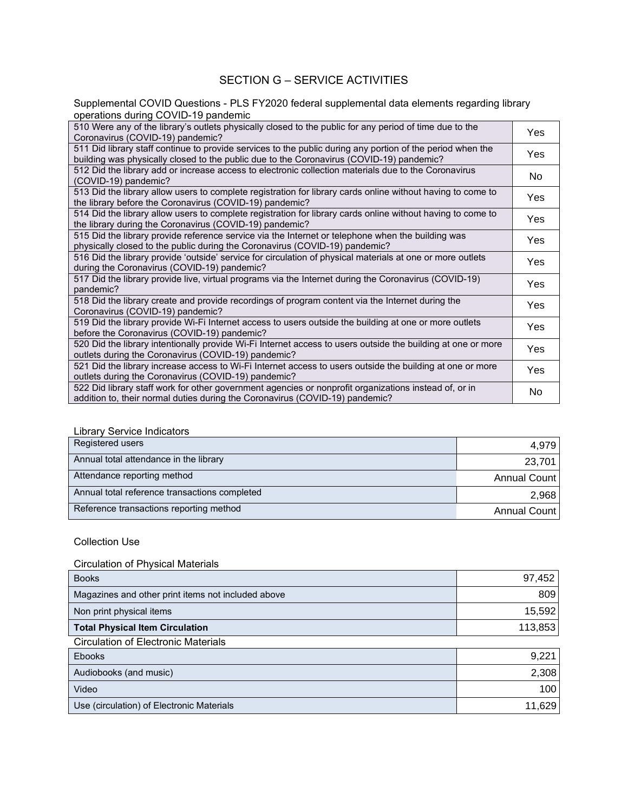## SECTION G – SERVICE ACTIVITIES

Supplemental COVID Questions - PLS FY2020 federal supplemental data elements regarding library operations during COVID-19 pandemic

| 510 Were any of the library's outlets physically closed to the public for any period of time due to the<br>Coronavirus (COVID-19) pandemic?                                                            | Yes                 |
|--------------------------------------------------------------------------------------------------------------------------------------------------------------------------------------------------------|---------------------|
| 511 Did library staff continue to provide services to the public during any portion of the period when the<br>building was physically closed to the public due to the Coronavirus (COVID-19) pandemic? | Yes                 |
| 512 Did the library add or increase access to electronic collection materials due to the Coronavirus<br>(COVID-19) pandemic?                                                                           | <b>No</b>           |
| 513 Did the library allow users to complete registration for library cards online without having to come to<br>the library before the Coronavirus (COVID-19) pandemic?                                 | Yes                 |
| 514 Did the library allow users to complete registration for library cards online without having to come to<br>the library during the Coronavirus (COVID-19) pandemic?                                 | Yes                 |
| 515 Did the library provide reference service via the Internet or telephone when the building was<br>physically closed to the public during the Coronavirus (COVID-19) pandemic?                       | Yes                 |
| 516 Did the library provide 'outside' service for circulation of physical materials at one or more outlets<br>during the Coronavirus (COVID-19) pandemic?                                              | Yes                 |
| 517 Did the library provide live, virtual programs via the Internet during the Coronavirus (COVID-19)<br>pandemic?                                                                                     | Yes                 |
| 518 Did the library create and provide recordings of program content via the Internet during the<br>Coronavirus (COVID-19) pandemic?                                                                   | Yes                 |
| 519 Did the library provide Wi-Fi Internet access to users outside the building at one or more outlets<br>before the Coronavirus (COVID-19) pandemic?                                                  | Yes                 |
| 520 Did the library intentionally provide Wi-Fi Internet access to users outside the building at one or more<br>outlets during the Coronavirus (COVID-19) pandemic?                                    | Yes                 |
| 521 Did the library increase access to Wi-Fi Internet access to users outside the building at one or more<br>outlets during the Coronavirus (COVID-19) pandemic?                                       | Yes                 |
| 522 Did library staff work for other government agencies or nonprofit organizations instead of, or in<br>addition to, their normal duties during the Coronavirus (COVID-19) pandemic?                  | No                  |
|                                                                                                                                                                                                        |                     |
| <b>Library Service Indicators</b>                                                                                                                                                                      |                     |
| Registered users                                                                                                                                                                                       | 4,979               |
| Annual total attendance in the library                                                                                                                                                                 | 23,701              |
| Attendance reporting method                                                                                                                                                                            | <b>Annual Count</b> |
| Annual total reference transactions completed                                                                                                                                                          | 2,968               |
| Reference transactions reporting method                                                                                                                                                                | <b>Annual Count</b> |
| <b>Collection Use</b><br><b>Circulation of Physical Materials</b>                                                                                                                                      |                     |
| <b>Books</b>                                                                                                                                                                                           | 97,452              |
| Magazines and other print items not included above                                                                                                                                                     | 809                 |
| Non print physical items                                                                                                                                                                               | 15,592              |
| <b>Total Physical Item Circulation</b>                                                                                                                                                                 | 113,853             |
| <b>Circulation of Electronic Materials</b>                                                                                                                                                             |                     |
| Ebooks                                                                                                                                                                                                 | 9,221               |
| Audiobooks (and music)                                                                                                                                                                                 | 2,308               |
| Video                                                                                                                                                                                                  | 100                 |
| Use (circulation) of Electronic Materials                                                                                                                                                              | 11,629              |

#### Library Service Indicators

| Registered users                              | 4,979        |
|-----------------------------------------------|--------------|
| Annual total attendance in the library        | 23,701       |
| Attendance reporting method                   | Annual Count |
| Annual total reference transactions completed | 2,968        |
| Reference transactions reporting method       | Annual Count |

#### Collection Use

### Circulation of Physical Materials

| <b>Books</b>                                       | 97,452  |
|----------------------------------------------------|---------|
| Magazines and other print items not included above | 809     |
| Non print physical items                           | 15,592  |
| <b>Total Physical Item Circulation</b>             | 113,853 |
| <b>Circulation of Electronic Materials</b>         |         |
| <b>Ebooks</b>                                      | 9,221   |
| Audiobooks (and music)                             | 2,308   |
| Video                                              | 100     |
| Use (circulation) of Electronic Materials          | 11,629  |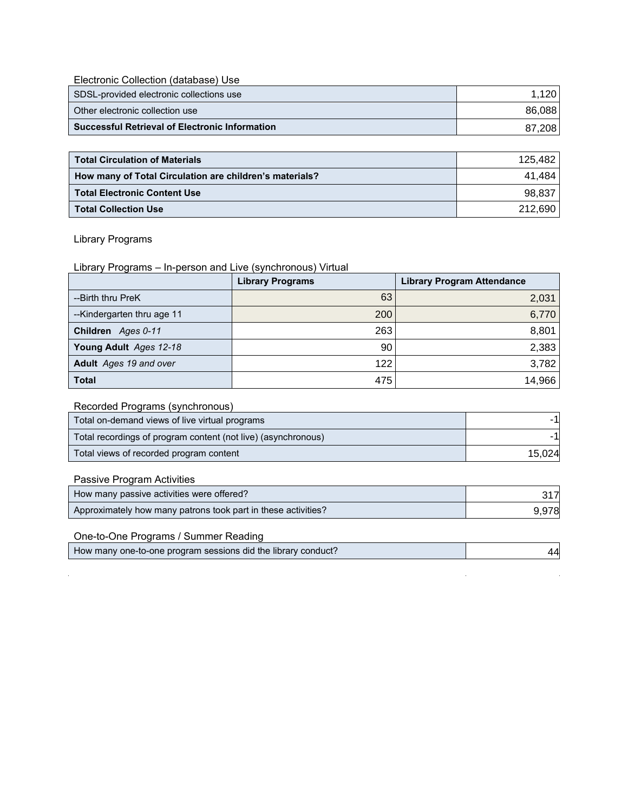Electronic Collection (database) Use

| SDSL-provided electronic collections use              | 1.120  |
|-------------------------------------------------------|--------|
| Other electronic collection use                       | 86.088 |
| <b>Successful Retrieval of Electronic Information</b> | 87.208 |

| Other electronic collection use                         | 86,088  |
|---------------------------------------------------------|---------|
| <b>Successful Retrieval of Electronic Information</b>   | 87,208  |
|                                                         |         |
| <b>Total Circulation of Materials</b>                   | 125,482 |
| How many of Total Circulation are children's materials? | 41,484  |
| <b>Total Electronic Content Use</b>                     | 98,837  |
| <b>Total Collection Use</b>                             | 212,690 |

## Library Programs

Library Programs – In-person and Live (synchronous) Virtual

|                           | <b>Library Programs</b> | <b>Library Program Attendance</b> |
|---------------------------|-------------------------|-----------------------------------|
| --Birth thru PreK         | 63                      | 2,031                             |
| -Kindergarten thru age 11 | 200                     | 6,770                             |
| Children Ages 0-11        | 263                     | 8,801                             |
| Young Adult Ages 12-18    | 90                      | 2,383                             |
| Adult Ages 19 and over    | 122                     | 3,782                             |
| <b>Total</b>              | 475                     | 14,966                            |

### Recorded Programs (synchronous)

| Total on-demand views of live virtual programs                | -11    |
|---------------------------------------------------------------|--------|
| Total recordings of program content (not live) (asynchronous) | -11    |
| Total views of recorded program content                       | 15,024 |
| Passive Program Activities                                    |        |
| How many passive activities were offered?                     | 317    |
| Approximately how many patrons took part in these activities? | 9,978  |
| One-to-One Programs / Summer Reading                          |        |
| How many one-to-one program sessions did the library conduct? | 44     |

## Passive Program Activities

| How many passive activities were offered?                     | 317   |
|---------------------------------------------------------------|-------|
| Approximately how many patrons took part in these activities? | 9,978 |

## One-to-One Programs / Summer Reading

| How many one-to-one program sessions did the library conduct? | $\mathcal{A}$ |
|---------------------------------------------------------------|---------------|
|---------------------------------------------------------------|---------------|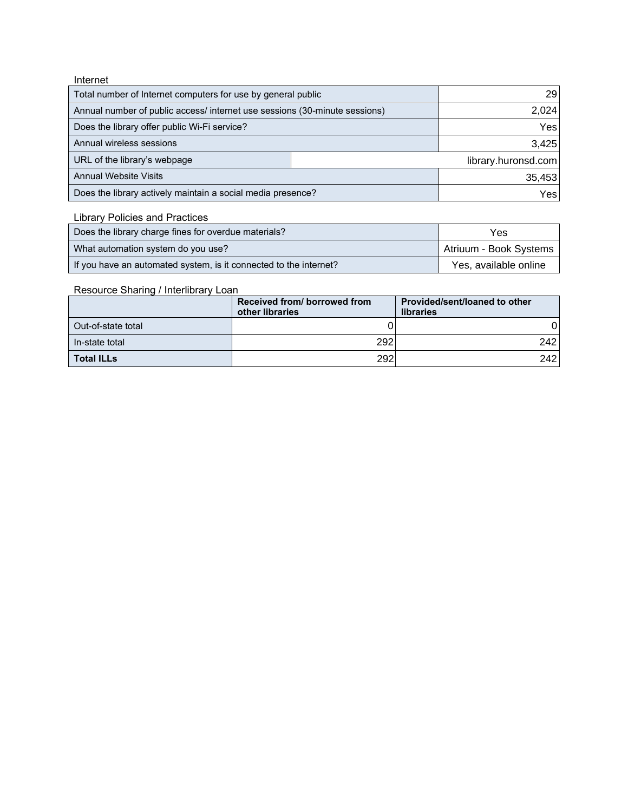| Internet |
|----------|
|----------|

| Total number of Internet computers for use by general public               |  | 29                  |
|----------------------------------------------------------------------------|--|---------------------|
| Annual number of public access/ internet use sessions (30-minute sessions) |  | 2,024               |
| Does the library offer public Wi-Fi service?                               |  | Yes                 |
| Annual wireless sessions                                                   |  | 3,425               |
| URL of the library's webpage                                               |  | library.huronsd.com |
| <b>Annual Website Visits</b>                                               |  | 35,453              |
| Does the library actively maintain a social media presence?                |  | Yes                 |

Library Policies and Practices

| Does the library charge fines for overdue materials?              | Yes                    |
|-------------------------------------------------------------------|------------------------|
| What automation system do you use?                                | Atriuum - Book Systems |
| If you have an automated system, is it connected to the internet? | Yes, available online  |

#### Resource Sharing / Interlibrary Loan

|                    | Received from/ borrowed from<br>other libraries | Provided/sent/loaned to other<br>libraries |
|--------------------|-------------------------------------------------|--------------------------------------------|
| Out-of-state total |                                                 |                                            |
| In-state total     | 292                                             | 242                                        |
| ∣ Total ILLs       | 292                                             | 242                                        |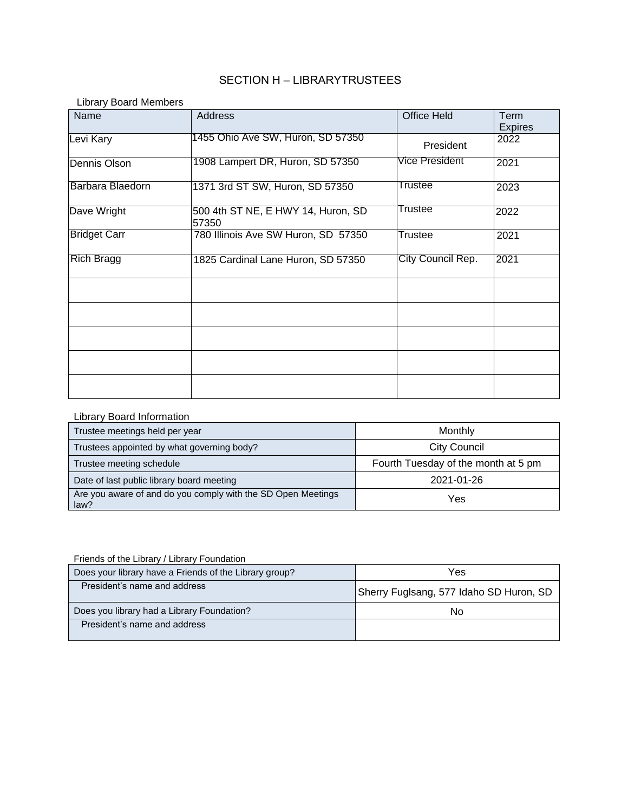## SECTION H – LIBRARYTRUSTEES

Library Board Members

| Name                | Address                                     | <b>Office Held</b> | Term<br><b>Expires</b> |
|---------------------|---------------------------------------------|--------------------|------------------------|
| Levi Kary           | 1455 Ohio Ave SW, Huron, SD 57350           | President          | 2022                   |
| Dennis Olson        | 1908 Lampert DR, Huron, SD 57350            | Vice President     | 2021                   |
| Barbara Blaedorn    | 1371 3rd ST SW, Huron, SD 57350             | Trustee            | 2023                   |
| Dave Wright         | 500 4th ST NE, E HWY 14, Huron, SD<br>57350 | Trustee            | 2022                   |
| <b>Bridget Carr</b> | 780 Illinois Ave SW Huron, SD 57350         | <b>Trustee</b>     | 2021                   |
| <b>Rich Bragg</b>   | 1825 Cardinal Lane Huron, SD 57350          | City Council Rep.  | 2021                   |
|                     |                                             |                    |                        |
|                     |                                             |                    |                        |
|                     |                                             |                    |                        |
|                     |                                             |                    |                        |
|                     |                                             |                    |                        |

#### Library Board Information

| Trustee meetings held per year                                       | Monthly                             |
|----------------------------------------------------------------------|-------------------------------------|
| Trustees appointed by what governing body?                           | <b>City Council</b>                 |
| Trustee meeting schedule                                             | Fourth Tuesday of the month at 5 pm |
| Date of last public library board meeting                            | 2021-01-26                          |
| Are you aware of and do you comply with the SD Open Meetings<br>law? | Yes                                 |

| Friends of the Library / Library Foundation            |                                         |
|--------------------------------------------------------|-----------------------------------------|
| Does your library have a Friends of the Library group? | Yes                                     |
| President's name and address                           | Sherry Fuglsang, 577 Idaho SD Huron, SD |
| Does you library had a Library Foundation?             | N٥                                      |
| President's name and address                           |                                         |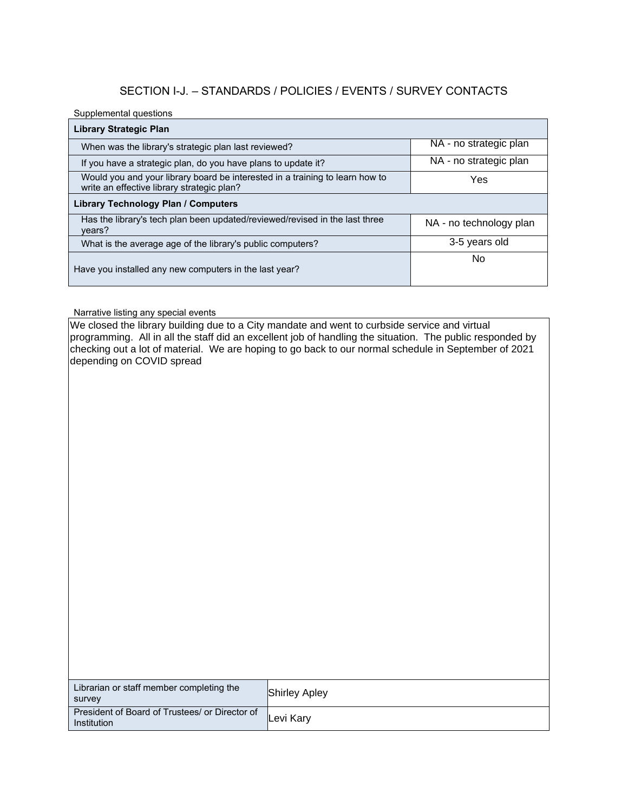## SECTION I-J. – STANDARDS / POLICIES / EVENTS / SURVEY CONTACTS

#### Supplemental questions

| <b>Library Strategic Plan</b>                                                                                                                                                                                                                                                                                                                   |               |                         |
|-------------------------------------------------------------------------------------------------------------------------------------------------------------------------------------------------------------------------------------------------------------------------------------------------------------------------------------------------|---------------|-------------------------|
| When was the library's strategic plan last reviewed?                                                                                                                                                                                                                                                                                            |               | NA - no strategic plan  |
| If you have a strategic plan, do you have plans to update it?                                                                                                                                                                                                                                                                                   |               | NA - no strategic plan  |
| Would you and your library board be interested in a training to learn how to<br>write an effective library strategic plan?                                                                                                                                                                                                                      |               | Yes                     |
| <b>Library Technology Plan / Computers</b>                                                                                                                                                                                                                                                                                                      |               |                         |
| Has the library's tech plan been updated/reviewed/revised in the last three<br>years?                                                                                                                                                                                                                                                           |               | NA - no technology plan |
| What is the average age of the library's public computers?                                                                                                                                                                                                                                                                                      |               | 3-5 years old           |
| Have you installed any new computers in the last year?                                                                                                                                                                                                                                                                                          |               | No                      |
| Narrative listing any special events                                                                                                                                                                                                                                                                                                            |               |                         |
| We closed the library building due to a City mandate and went to curbside service and virtual<br>programming. All in all the staff did an excellent job of handling the situation. The public responded by<br>checking out a lot of material. We are hoping to go back to our normal schedule in September of 2021<br>depending on COVID spread |               |                         |
| Librarian or staff member completing the<br>survey                                                                                                                                                                                                                                                                                              | Shirley Apley |                         |
| President of Board of Trustees/ or Director of<br>Inetitution                                                                                                                                                                                                                                                                                   | Levi Kary     |                         |

| Librarian or staff member completing the<br>survey                   | <b>Shirley Apley</b> |
|----------------------------------------------------------------------|----------------------|
| President of Board of Trustees/ or Director of<br><b>Institution</b> | Levi Kary            |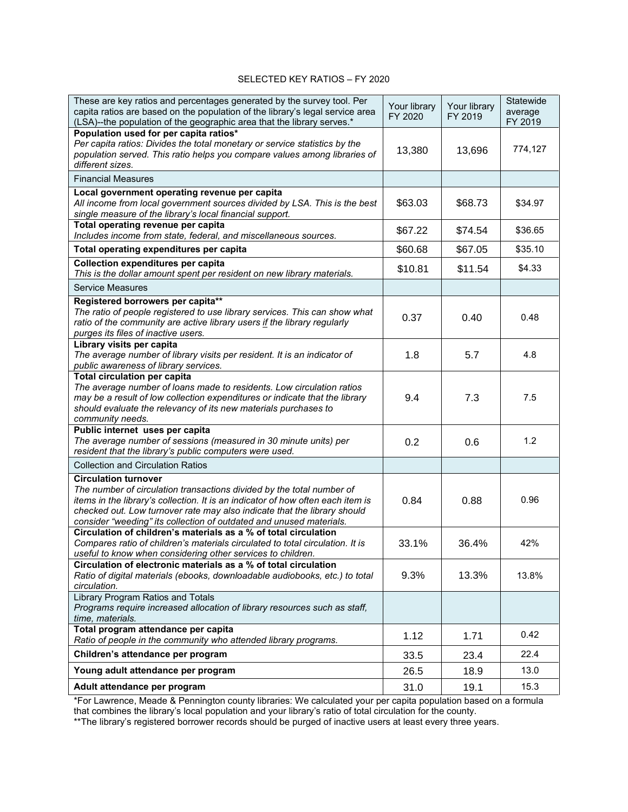#### SELECTED KEY RATIOS – FY 2020

| These are key ratios and percentages generated by the survey tool. Per<br>capita ratios are based on the population of the library's legal service area<br>(LSA)--the population of the geographic area that the library serves.*                                                                                                          | Your library<br>FY 2020 | Your library<br>FY 2019 | Statewide<br>average<br>FY 2019 |
|--------------------------------------------------------------------------------------------------------------------------------------------------------------------------------------------------------------------------------------------------------------------------------------------------------------------------------------------|-------------------------|-------------------------|---------------------------------|
| Population used for per capita ratios*<br>Per capita ratios: Divides the total monetary or service statistics by the<br>population served. This ratio helps you compare values among libraries of<br>different sizes.                                                                                                                      | 13,380                  | 13,696                  | 774,127                         |
| <b>Financial Measures</b>                                                                                                                                                                                                                                                                                                                  |                         |                         |                                 |
| Local government operating revenue per capita<br>All income from local government sources divided by LSA. This is the best<br>single measure of the library's local financial support.                                                                                                                                                     | \$63.03                 | \$68.73                 | \$34.97                         |
| Total operating revenue per capita<br>Includes income from state, federal, and miscellaneous sources.                                                                                                                                                                                                                                      | \$67.22                 | \$74.54                 | \$36.65                         |
| Total operating expenditures per capita                                                                                                                                                                                                                                                                                                    | \$60.68                 | \$67.05                 | \$35.10                         |
| <b>Collection expenditures per capita</b><br>This is the dollar amount spent per resident on new library materials.                                                                                                                                                                                                                        | \$10.81                 | \$11.54                 | \$4.33                          |
| <b>Service Measures</b>                                                                                                                                                                                                                                                                                                                    |                         |                         |                                 |
| Registered borrowers per capita**<br>The ratio of people registered to use library services. This can show what<br>ratio of the community are active library users if the library regularly<br>purges its files of inactive users.                                                                                                         | 0.37                    | 0.40                    | 0.48                            |
| Library visits per capita<br>The average number of library visits per resident. It is an indicator of<br>public awareness of library services.                                                                                                                                                                                             | 1.8                     | 5.7                     | 4.8                             |
| <b>Total circulation per capita</b><br>The average number of loans made to residents. Low circulation ratios<br>may be a result of low collection expenditures or indicate that the library<br>should evaluate the relevancy of its new materials purchases to<br>community needs.                                                         | 9.4                     | 7.3                     | 7.5                             |
| Public internet uses per capita<br>The average number of sessions (measured in 30 minute units) per<br>resident that the library's public computers were used.                                                                                                                                                                             | 0.2                     | 0.6                     | 1.2                             |
| <b>Collection and Circulation Ratios</b>                                                                                                                                                                                                                                                                                                   |                         |                         |                                 |
| <b>Circulation turnover</b><br>The number of circulation transactions divided by the total number of<br>items in the library's collection. It is an indicator of how often each item is<br>checked out. Low turnover rate may also indicate that the library should<br>consider "weeding" its collection of outdated and unused materials. | 0.84                    | 0.88                    | 0.96                            |
| Circulation of children's materials as a % of total circulation<br>Compares ratio of children's materials circulated to total circulation. It is<br>useful to know when considering other services to children.                                                                                                                            | 33.1%                   | 36.4%                   | 42%                             |
| Circulation of electronic materials as a % of total circulation<br>Ratio of digital materials (ebooks, downloadable audiobooks, etc.) to total<br>circulation.                                                                                                                                                                             | 9.3%                    | 13.3%                   | 13.8%                           |
| Library Program Ratios and Totals<br>Programs require increased allocation of library resources such as staff,<br>time, materials.                                                                                                                                                                                                         |                         |                         |                                 |
| Total program attendance per capita<br>Ratio of people in the community who attended library programs.                                                                                                                                                                                                                                     | 1.12                    | 1.71                    | 0.42                            |
| Children's attendance per program                                                                                                                                                                                                                                                                                                          | 33.5                    | 23.4                    | 22.4                            |
| Young adult attendance per program                                                                                                                                                                                                                                                                                                         | 26.5                    | 18.9                    | 13.0                            |
| Adult attendance per program                                                                                                                                                                                                                                                                                                               | 31.0                    | 19.1                    | 15.3                            |

\*For Lawrence, Meade & Pennington county libraries: We calculated your per capita population based on a formula that combines the library's local population and your library's ratio of total circulation for the county.

\*\*The library's registered borrower records should be purged of inactive users at least every three years.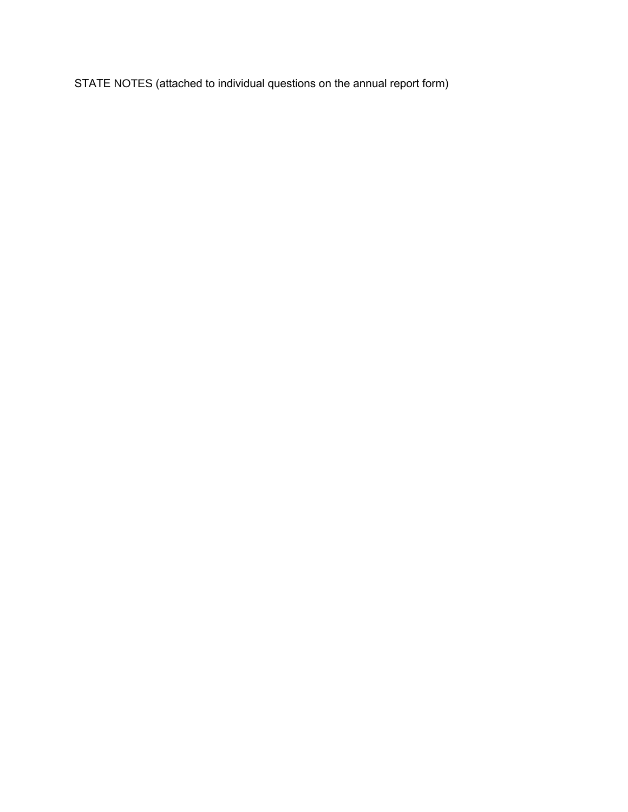STATE NOTES (attached to individual questions on the annual report form)